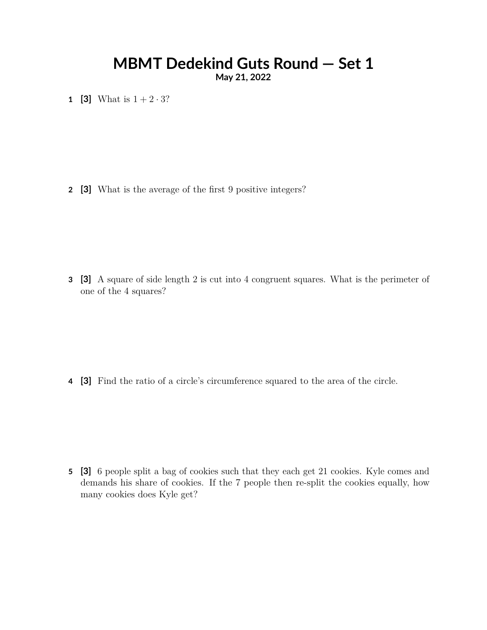# **MBMT Dedekind Guts Round — Set 1**

**May 21, 2022**

**1 [3]** What is  $1 + 2 \cdot 3$ ?

**2 [3]** What is the average of the first 9 positive integers?

**3 [3]** A square of side length 2 is cut into 4 congruent squares. What is the perimeter of one of the 4 squares?

**4 [3]** Find the ratio of a circle's circumference squared to the area of the circle.

**5 [3]** 6 people split a bag of cookies such that they each get 21 cookies. Kyle comes and demands his share of cookies. If the 7 people then re-split the cookies equally, how many cookies does Kyle get?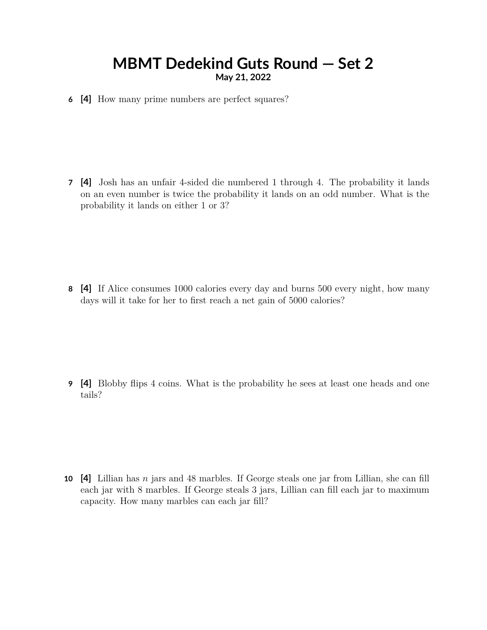### **MBMT Dedekind Guts Round — Set 2 May 21, 2022**

**6 [4]** How many prime numbers are perfect squares?

**7 [4]** Josh has an unfair 4-sided die numbered 1 through 4. The probability it lands on an even number is twice the probability it lands on an odd number. What is the probability it lands on either 1 or 3?

**8 [4]** If Alice consumes 1000 calories every day and burns 500 every night, how many days will it take for her to first reach a net gain of 5000 calories?

**9 [4]** Blobby flips 4 coins. What is the probability he sees at least one heads and one tails?

**10 [4]** Lillian has *n* jars and 48 marbles. If George steals one jar from Lillian, she can fill each jar with 8 marbles. If George steals 3 jars, Lillian can fill each jar to maximum capacity. How many marbles can each jar fill?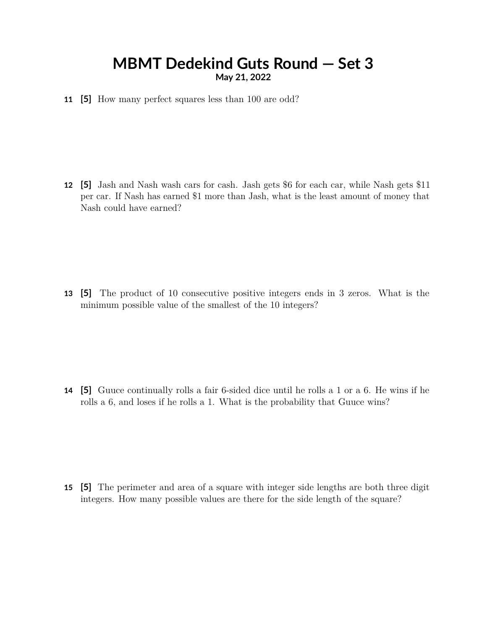#### **MBMT Dedekind Guts Round — Set 3 May 21, 2022**

**11 [5]** How many perfect squares less than 100 are odd?

**12 [5]** Jash and Nash wash cars for cash. Jash gets \$6 for each car, while Nash gets \$11 per car. If Nash has earned \$1 more than Jash, what is the least amount of money that Nash could have earned?

**13 [5]** The product of 10 consecutive positive integers ends in 3 zeros. What is the minimum possible value of the smallest of the 10 integers?

**14 [5]** Guuce continually rolls a fair 6-sided dice until he rolls a 1 or a 6. He wins if he rolls a 6, and loses if he rolls a 1. What is the probability that Guuce wins?

**15 [5]** The perimeter and area of a square with integer side lengths are both three digit integers. How many possible values are there for the side length of the square?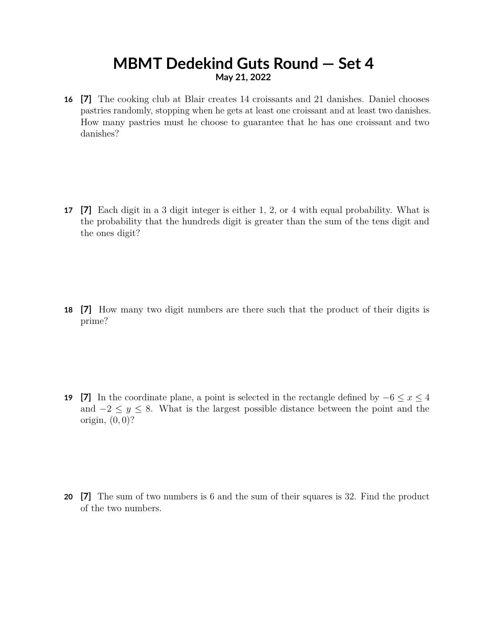### **MBMT Dedekind Guts Round — Set 4 May 21, 2022**

**16 [7]** The cooking club at Blair creates 14 croissants and 21 danishes. Daniel chooses pastries randomly, stopping when he gets at least one croissant and at least two danishes. How many pastries must he choose to guarantee that he has one croissant and two danishes?

**17 [7]** Each digit in a 3 digit integer is either 1, 2, or 4 with equal probability. What is the probability that the hundreds digit is greater than the sum of the tens digit and the ones digit?

**18 [7]** How many two digit numbers are there such that the product of their digits is prime?

**19 [7]** In the coordinate plane, a point is selected in the rectangle defined by  $-6 \le x \le 4$ and  $-2 \leq y \leq 8$ . What is the largest possible distance between the point and the origin, (0*,* 0)?

**20 [7]** The sum of two numbers is 6 and the sum of their squares is 32. Find the product of the two numbers.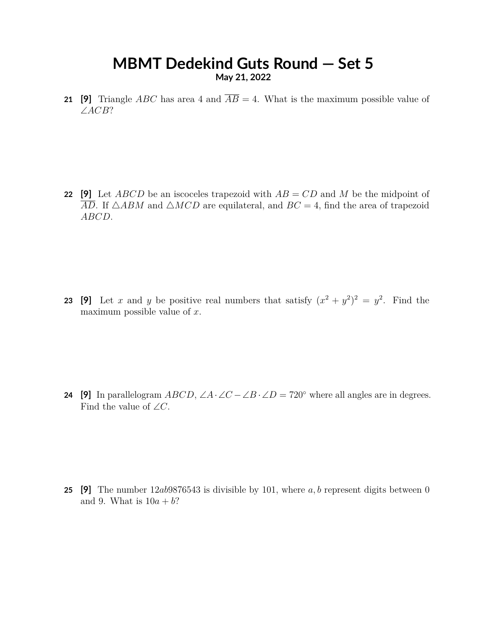#### **MBMT Dedekind Guts Round — Set 5 May 21, 2022**

**21 [9]** Triangle *ABC* has area 4 and  $\overline{AB} = 4$ . What is the maximum possible value of ∠*ACB*?

**22 [9]** Let *ABCD* be an iscoceles trapezoid with *AB* = *CD* and *M* be the midpoint of  $\overline{AD}$ . If  $\triangle ABM$  and  $\triangle MCD$  are equilateral, and  $BC = 4$ , find the area of trapezoid *ABCD*.

**23** [9] Let *x* and *y* be positive real numbers that satisfy  $(x^2 + y^2)^2 = y^2$ . Find the maximum possible value of *x*.

**24** [9] In parallelogram *ABCD*,  $\angle A \cdot \angle C - \angle B \cdot \angle D = 720^\circ$  where all angles are in degrees. Find the value of  $\angle C$ .

**25 [9]** The number 12*ab*9876543 is divisible by 101, where *a, b* represent digits between 0 and 9. What is  $10a + b$ ?